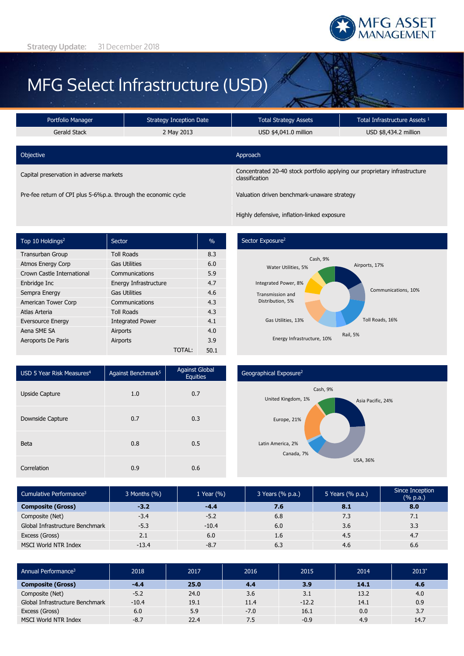

# MFG Select Infrastructure (USD)

| Portfolio Manager                                              | Strategy Inception Date |                                                                                              | Total Infrastructure Assets 1 |  |  |
|----------------------------------------------------------------|-------------------------|----------------------------------------------------------------------------------------------|-------------------------------|--|--|
| Gerald Stack                                                   | 2 May 2013              | USD \$4,041.0 million                                                                        | USD \$8,434.2 million         |  |  |
|                                                                |                         |                                                                                              |                               |  |  |
| Objective                                                      |                         | Approach                                                                                     |                               |  |  |
| Capital preservation in adverse markets                        |                         | Concentrated 20-40 stock portfolio applying our proprietary infrastructure<br>classification |                               |  |  |
| Pre-fee return of CPI plus 5-6%p.a. through the economic cycle |                         | Valuation driven benchmark-unaware strategy                                                  |                               |  |  |

Highly defensive, inflation-linked exposure

| Top 10 Holdings <sup>2</sup> | Sector                  | $\%$   |      |
|------------------------------|-------------------------|--------|------|
| <b>Transurban Group</b>      | <b>Toll Roads</b>       |        | 8.3  |
| <b>Atmos Energy Corp</b>     | <b>Gas Utilities</b>    |        | 6.0  |
| Crown Castle International   | Communications          |        | 5.9  |
| Enbridge Inc                 | Energy Infrastructure   |        | 4.7  |
| Sempra Energy                | <b>Gas Utilities</b>    |        | 4.6  |
| American Tower Corp          | Communications          |        | 4.3  |
| Atlas Arteria                | <b>Toll Roads</b>       |        | 4.3  |
| <b>Eversource Energy</b>     | <b>Integrated Power</b> |        | 4.1  |
| Aena SME SA                  | Airports                |        | 4.0  |
| Aeroports De Paris           | Airports                |        | 3.9  |
|                              |                         | TOTAL: | 50.1 |

#### Sector Exposure<sup>2</sup>



| USD 5 Year Risk Measures <sup>4</sup> | Against Benchmark <sup>5</sup> | <b>Against Global</b><br><b>Equities</b> |  |
|---------------------------------------|--------------------------------|------------------------------------------|--|
| Upside Capture                        | 1.0                            | 0.7                                      |  |
| Downside Capture                      | 0.7                            | 0.3                                      |  |
| <b>Beta</b>                           | 0.8                            | 0.5                                      |  |
| Correlation                           | 0.9                            | 0.6                                      |  |

### Geographical Exposure<sup>2</sup>



| Cumulative Performance <sup>3</sup> | 3 Months (%) | 1 Year $(\% )$ | 3 Years (% p.a.) | 5 Years (% p.a.) | Since Inception<br>$(% \mathbb{R}^2)$ (% p.a.) |
|-------------------------------------|--------------|----------------|------------------|------------------|------------------------------------------------|
| <b>Composite (Gross)</b>            | $-3.2$       | $-4.4$         | 7.6              | 8.1              | 8.0                                            |
| Composite (Net)                     | $-3.4$       | $-5.2$         | 6.8              | 7.3              | 7.1                                            |
| Global Infrastructure Benchmark     | $-5.3$       | $-10.4$        | 6.0              | 3.6              | 3.3                                            |
| Excess (Gross)                      | 2.1          | 6.0            | 1.6              | 4.5              | 4.7                                            |
| MSCI World NTR Index                | $-13.4$      | $-8.7$         | 6.3              | 4.6              | 6.6                                            |

| Annual Performance <sup>3</sup> | 2018    | 2017 | 2016   | 2015    | 2014 | $2013*$ |
|---------------------------------|---------|------|--------|---------|------|---------|
| <b>Composite (Gross)</b>        | $-4.4$  | 25.0 | 4.4    | 3.9     | 14.1 | 4.6     |
| Composite (Net)                 | $-5.2$  | 24.0 | 3.6    | 3.1     | 13.2 | 4.0     |
| Global Infrastructure Benchmark | $-10.4$ | 19.1 | 11.4   | $-12.2$ | 14.1 | 0.9     |
| Excess (Gross)                  | 6.0     | 5.9  | $-7.0$ | 16.1    | 0.0  | 3.7     |
| MSCI World NTR Index            | $-8.7$  | 22.4 | 7.5    | $-0.9$  | 4.9  | 14.7    |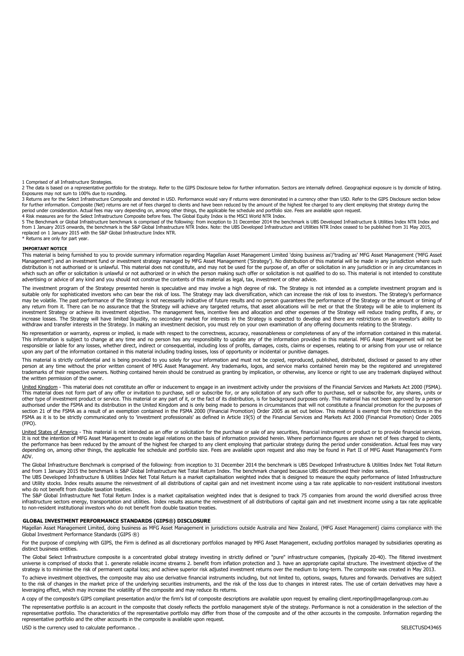1 Comprised of all Infrastructure Strategies.

2 The data is based on a representative portfolio for the strategy. Refer to the GIPS Disclosure below for further information. Sectors are internally defined. Geographical exposure is by domicile of listing.<br>Exposures may

3 Returns are for the Select Infrastructure Composite and denoted in USD. Performance would vary if returns were denominated in a currency other than USD. Refer to the GIPS Disclosure section below for further information. Composite (Net) returns are net of fees charged to clients and have been reduced by the amount of the highest fee charged to any client employing that strategy during the<br>period under consideration

4 Risk measures are for the Select Infrastructure Composite before fees. The Global Equity Index is the MSCI World NTR Index.

5 The Benchmark or Global Infrastructure benchmark is comprised of the following: from inception to 31 December 2014 the benchmark is UBS Developed Infrastructure & Utilities Index NTR Index and<br>from 1 January 2015 onwards replaced on 1 January 2015 with the S&P Global Infrastructure Index NTR. \* Returns are only for part year.

#### **IMPORTANT NOTICE**

This material is being furnished to you to provide summary information regarding Magellan Asset Management Limited 'doing business as'/'trading as' MFG Asset Management ('MFG Asset Management') and an investment fund or investment strategy managed by MFG Asset Management ('Strategy'). No distribution of this material will be made in any jurisdiction where such<br>distribution is not authorised or is unl which such an offer or solicitation is unlawful or not authorized or in which the person making such offer or solicitation is not qualified to do so. This material is not intended to constitute<br>advertising or advice of any

The investment program of the Strategy presented herein is speculative and may involve a high degree of risk. The Strategy is not intended as a complete investment program and is suitable only for sophisticated investors who can bear the risk of loss. The Strategy may lack diversification, which can increase the risk of loss to investors. The Strategy's performance<br>may be volatile. The past perform any return from it. There can be no assurance that the Strategy will achieve any targeted returns, that asset allocations will be met or that the Strategy will be able to implement its<br>investment Strategy or achieve its in increase losses. The Strategy will have limited liquidity, no secondary market for interests in the Strategy is expected to develop and there are restrictions on an investor's ability to withdraw and transfer interests in the Strategy. In making an investment decision, you must rely on your own examination of any offering documents relating to the Strategy.

No representation or warranty, express or implied, is made with respect to the correctness, accuracy, reasonableness or completeness of any of the information contained in this material.<br>This information is subject to chan responsible or liable for any losses, whether direct, indirect or consequential, including loss of profits, damages, costs, claims or expenses, relating to or arising from your use or reliance upon any part of the information contained in this material including trading losses, loss of opportunity or incidental or punitive damages.

This material is strictly confidential and is being provided to you solely for your information and must not be copied, reproduced, published, distributed, disclosed or passed to any other<br>person at any time without the pr the written permission of the owner.

United Kingdom - This material does not constitute an offer or inducement to engage in an investment activity under the provisions of the Financial Services and Markets Act 2000 (FSMA). This material does not form part of any offer or invitation to purchase, sell or subscribe for, or any solicitation of any such offer to purchase, sell or subscribe for, any shares, units or other type of investment product or service. This material or any part of it, or the fact of its distribution, is for background purposes only. This material has not been approved by a person authorised under the FSMA and its distribution in the United Kingdom and is only being made to persons in circumstances that will not constitute a financial promotion for the purposes of<br>section 21 of the FSMA as a result FSMA as it is to be strictly communicated only to 'investment professionals' as defined in Article 19(5) of the Financial Services and Markets Act 2000 (Financial Promotion) Order 2005 (FPO).

<u>United States of America</u> - This material is not intended as an offer or solicitation for the purchase or sale of any securities, financial instrument or product or to provide financial services.<br>It is not the intention o the performance has been reduced by the amount of the highest fee charged to any client employing that particular strategy during the period under consideration. Actual fees may vary<br>depending on, among other things, the a ADV.

The Global Infrastructure Benchmark is comprised of the following: from inception to 31 December 2014 the benchmark is UBS Developed Infrastructure & Utilities Index Net Total Return and from 1 January 2015 the benchmark is S&P Global Infrastructure Net Total Return Index. The benchmark changed because UBS discontinued their index series.<br>The UBS Developed Infrastructure & Utilities Index Net Total Ret

and Utility stocks. Index results assume the reinvestment of all distributions of capital gain and net investment income using a tax rate applicable to non-resident institutional investors who do not benefit from double taxation treaties.

The S&P Global Infrastructure Net Total Return Index is a market capitalisation weighted index that is designed to track 75 companies from around the world diversified across three infrastructure sectors energy, transportation and utilities. Index results assume the reinvestment of all distributions of capital gain and net investment income using a tax rate applicable<br>to non-resident institutional in

#### **GLOBAL INVESTMENT PERFORMANCE STANDARDS (GIPS®) DISCLOSURE**

Magellan Asset Management Limited, doing business as MFG Asset Management in jurisdictions outside Australia and New Zealand, (MFG Asset Management) claims compliance with the Global Investment Performance Standards (GIPS ®)

For the purpose of complying with GIPS, the Firm is defined as all discretionary portfolios managed by MFG Asset Management, excluding portfolios managed by subsidiaries operating as distinct business entities.

The Global Select Infrastructure composite is a concentrated global strategy investing in strictly defined or "pure" infrastructure companies, (typically 20-40). The filtered investment universe is comprised of stocks that 1. generate reliable income streams 2. benefit from inflation protection and 3. have an appropriate capital structure. The investment objective of the strategy is to minimise the risk of permanent capital loss; and achieve superior risk adjusted investment returns over the medium to long-term. The composite was created in May 2013.

To achieve investment objectives, the composite may also use derivative financial instruments including, but not limited to, options, swaps, futures and forwards. Derivatives are subject<br>to the risk of changes in the marke leveraging effect, which may increase the volatility of the composite and may reduce its returns.

A copy of the composite's GIPS compliant presentation and/or the firm's list of composite descriptions are available upon request by emailing client.reporting@magellangroup.com.au

The representative portfolio is an account in the composite that closely reflects the portfolio management style of the strategy. Performance is not a consideration in the selection of the representative portfolio. The characteristics of the representative portfolio may differ from those of the composite and of the other accounts in the composite. Information regarding the representative portfolio and the other accounts in the composite is available upon request.

USD is the currency used to calculate performance. .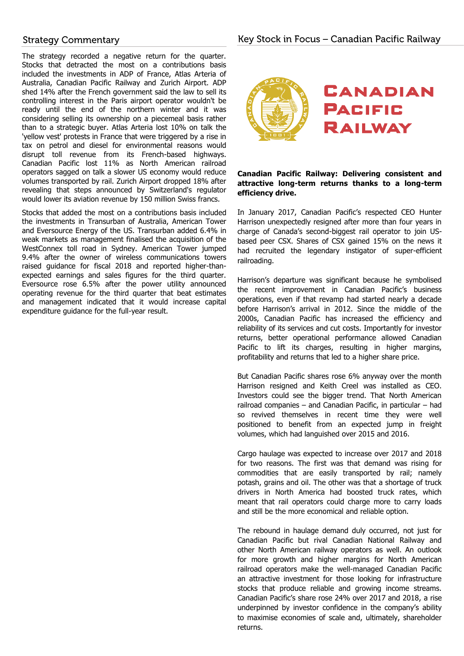## **Strategy Commentary**

The strategy recorded a negative return for the quarter. Stocks that detracted the most on a contributions basis included the investments in ADP of France, Atlas Arteria of Australia, Canadian Pacific Railway and Zurich Airport. ADP shed 14% after the French government said the law to sell its controlling interest in the Paris airport operator wouldn't be ready until the end of the northern winter and it was considering selling its ownership on a piecemeal basis rather than to a strategic buyer. Atlas Arteria lost 10% on talk the 'yellow vest' protests in France that were triggered by a rise in tax on petrol and diesel for environmental reasons would disrupt toll revenue from its French-based highways. Canadian Pacific lost 11% as North American railroad operators sagged on talk a slower US economy would reduce volumes transported by rail. Zurich Airport dropped 18% after revealing that steps announced by Switzerland's regulator would lower its aviation revenue by 150 million Swiss francs.

Stocks that added the most on a contributions basis included the investments in Transurban of Australia, American Tower and Eversource Energy of the US. Transurban added 6.4% in weak markets as management finalised the acquisition of the WestConnex toll road in Sydney. American Tower jumped 9.4% after the owner of wireless communications towers raised guidance for fiscal 2018 and reported higher-thanexpected earnings and sales figures for the third quarter. Eversource rose 6.5% after the power utility announced operating revenue for the third quarter that beat estimates and management indicated that it would increase capital expenditure guidance for the full-year result.



## **Canadian Pacific Railway: Delivering consistent and attractive long-term returns thanks to a long-term efficiency drive.**

In January 2017, Canadian Pacific's respected CEO Hunter Harrison unexpectedly resigned after more than four years in charge of Canada's second-biggest rail operator to join USbased peer CSX. Shares of CSX gained 15% on the news it had recruited the legendary instigator of super-efficient railroading.

Harrison's departure was significant because he symbolised the recent improvement in Canadian Pacific's business operations, even if that revamp had started nearly a decade before Harrison's arrival in 2012. Since the middle of the 2000s, Canadian Pacific has increased the efficiency and reliability of its services and cut costs. Importantly for investor returns, better operational performance allowed Canadian Pacific to lift its charges, resulting in higher margins, profitability and returns that led to a higher share price.

But Canadian Pacific shares rose 6% anyway over the month Harrison resigned and Keith Creel was installed as CEO. Investors could see the bigger trend. That North American railroad companies – and Canadian Pacific, in particular – had so revived themselves in recent time they were well positioned to benefit from an expected jump in freight volumes, which had languished over 2015 and 2016.

Cargo haulage was expected to increase over 2017 and 2018 for two reasons. The first was that demand was rising for commodities that are easily transported by rail; namely potash, grains and oil. The other was that a shortage of truck drivers in North America had boosted truck rates, which meant that rail operators could charge more to carry loads and still be the more economical and reliable option.

The rebound in haulage demand duly occurred, not just for Canadian Pacific but rival Canadian National Railway and other North American railway operators as well. An outlook for more growth and higher margins for North American railroad operators make the well-managed Canadian Pacific an attractive investment for those looking for infrastructure stocks that produce reliable and growing income streams. Canadian Pacific's share rose 24% over 2017 and 2018, a rise underpinned by investor confidence in the company's ability to maximise economies of scale and, ultimately, shareholder returns.